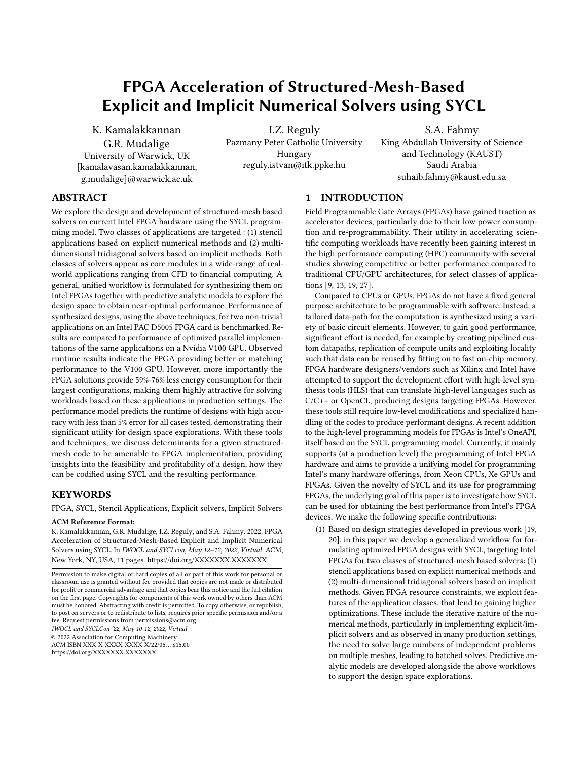# FPGA Acceleration of Structured-Mesh-Based Explicit and Implicit Numerical Solvers using SYCL

K. Kamalakkannan G.R. Mudalige University of Warwick, UK [kamalavasan.kamalakkannan, g.mudalige]@warwick.ac.uk

I.Z. Reguly Pazmany Peter Catholic University Hungary reguly.istvan@itk.ppke.hu

S.A. Fahmy King Abdullah University of Science and Technology (KAUST) Saudi Arabia suhaib.fahmy@kaust.edu.sa

# ABSTRACT

We explore the design and development of structured-mesh based solvers on current Intel FPGA hardware using the SYCL programming model. Two classes of applications are targeted : (1) stencil applications based on explicit numerical methods and (2) multidimensional tridiagonal solvers based on implicit methods. Both classes of solvers appear as core modules in a wide-range of realworld applications ranging from CFD to financial computing. A general, unified workflow is formulated for synthesizing them on Intel FPGAs together with predictive analytic models to explore the design space to obtain near-optimal performance. Performance of synthesized designs, using the above techniques, for two non-trivial applications on an Intel PAC D5005 FPGA card is benchmarked. Results are compared to performance of optimized parallel implementations of the same applications on a Nvidia V100 GPU. Observed runtime results indicate the FPGA providing better or matching performance to the V100 GPU. However, more importantly the FPGA solutions provide 59%-76% less energy consumption for their largest configurations, making them highly attractive for solving workloads based on these applications in production settings. The performance model predicts the runtime of designs with high accuracy with less than 5% error for all cases tested, demonstrating their significant utility for design space explorations. With these tools and techniques, we discuss determinants for a given structuredmesh code to be amenable to FPGA implementation, providing insights into the feasibility and profitability of a design, how they can be codified using SYCL and the resulting performance.

### KEYWORDS

FPGA, SYCL, Stencil Applications, Explicit solvers, Implicit Solvers

### ACM Reference Format:

K. Kamalakkannan, G.R. Mudalige, I.Z. Reguly, and S.A. Fahmy. 2022. FPGA Acceleration of Structured-Mesh-Based Explicit and Implicit Numerical Solvers using SYCL. In IWOCL and SYCLcon, May 12–12, 2022, Virtual. ACM, New York, NY, USA, [11](#page-10-0) pages.<https://doi.org/XXXXXXX.XXXXXXX>

IWOCL and SYCLCon '22, May 10-12, 2022, Virtual

© 2022 Association for Computing Machinery.

ACM ISBN XXX-X-XXXX-XXXX-X/22/05. . . \$15.00

### 1 INTRODUCTION

Field Programmable Gate Arrays (FPGAs) have gained traction as accelerator devices, particularly due to their low power consumption and re-programmability. Their utility in accelerating scientific computing workloads have recently been gaining interest in the high performance computing (HPC) community with several studies showing competitive or better performance compared to traditional CPU/GPU architectures, for select classes of applications [\[9,](#page-9-0) [13,](#page-9-1) [19,](#page-9-2) [27\]](#page-10-1).

Compared to CPUs or GPUs, FPGAs do not have a fixed general purpose architecture to be programmable with software. Instead, a tailored data-path for the computation is synthesized using a variety of basic circuit elements. However, to gain good performance, significant effort is needed, for example by creating pipelined custom datapaths, replication of compute units and exploiting locality such that data can be reused by fitting on to fast on-chip memory. FPGA hardware designers/vendors such as Xilinx and Intel have attempted to support the development effort with high-level synthesis tools (HLS) that can translate high-level languages such as C/C++ or OpenCL, producing designs targeting FPGAs. However, these tools still require low-level modifications and specialized handling of the codes to produce performant designs. A recent addition to the high-level programming models for FPGAs is Intel's OneAPI, itself based on the SYCL programming model. Currently, it mainly supports (at a production level) the programming of Intel FPGA hardware and aims to provide a unifying model for programming Intel's many hardware offerings, from Xeon CPUs, Xe GPUs and FPGAs. Given the novelty of SYCL and its use for programming FPGAs, the underlying goal of this paper is to investigate how SYCL can be used for obtaining the best performance from Intel's FPGA devices. We make the following specific contributions:

(1) Based on design strategies developed in previous work [\[19,](#page-9-2) [20\]](#page-9-3), in this paper we develop a generalized workflow for formulating optimized FPGA designs with SYCL, targeting Intel FPGAs for two classes of structured-mesh based solvers: (1) stencil applications based on explicit numerical methods and (2) multi-dimensional tridiagonal solvers based on implicit methods. Given FPGA resource constraints, we exploit features of the application classes, that lend to gaining higher optimizations. These include the iterative nature of the numerical methods, particularly in implementing explicit/implicit solvers and as observed in many production settings, the need to solve large numbers of independent problems on multiple meshes, leading to batched solves. Predictive analytic models are developed alongside the above workflows to support the design space explorations.

Permission to make digital or hard copies of all or part of this work for personal or classroom use is granted without fee provided that copies are not made or distributed for profit or commercial advantage and that copies bear this notice and the full citation on the first page. Copyrights for components of this work owned by others than ACM must be honored. Abstracting with credit is permitted. To copy otherwise, or republish, to post on servers or to redistribute to lists, requires prior specific permission and/or a fee. Request permissions from permissions@acm.org.

<https://doi.org/XXXXXXX.XXXXXXX>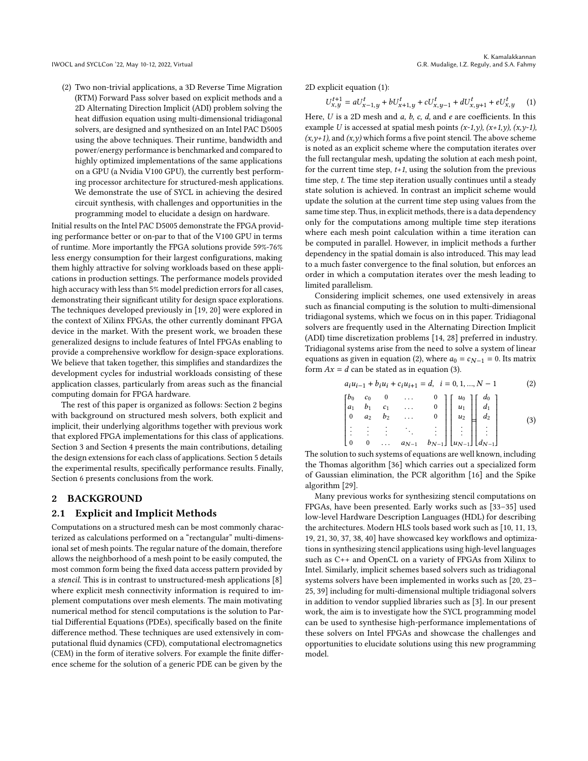(2) Two non-trivial applications, a 3D Reverse Time Migration (RTM) Forward Pass solver based on explicit methods and a 2D Alternating Direction Implicit (ADI) problem solving the heat diffusion equation using multi-dimensional tridiagonal solvers, are designed and synthesized on an Intel PAC D5005 using the above techniques. Their runtime, bandwidth and power/energy performance is benchmarked and compared to highly optimized implementations of the same applications on a GPU (a Nvidia V100 GPU), the currently best performing processor architecture for structured-mesh applications. We demonstrate the use of SYCL in achieving the desired circuit synthesis, with challenges and opportunities in the programming model to elucidate a design on hardware.

Initial results on the Intel PAC D5005 demonstrate the FPGA providing performance better or on-par to that of the V100 GPU in terms of runtime. More importantly the FPGA solutions provide 59%-76% less energy consumption for their largest configurations, making them highly attractive for solving workloads based on these applications in production settings. The performance models provided high accuracy with less than 5% model prediction errors for all cases, demonstrating their significant utility for design space explorations. The techniques developed previously in [\[19,](#page-9-2) [20\]](#page-9-3) were explored in the context of Xilinx FPGAs, the other currently dominant FPGA device in the market. With the present work, we broaden these generalized designs to include features of Intel FPGAs enabling to provide a comprehensive workflow for design-space explorations. We believe that taken together, this simplifies and standardizes the development cycles for industrial workloads consisting of these application classes, particularly from areas such as the financial computing domain for FPGA hardware.

The rest of this paper is organized as follows: Section [2](#page-1-0) begins with background on structured mesh solvers, both explicit and implicit, their underlying algorithms together with previous work that explored FPGA implementations for this class of applications. Section [3](#page-3-0) and Section [4](#page-5-0) presents the main contributions, detailing the design extensions for each class of applications. Section [5](#page-6-0) details the experimental results, specifically performance results. Finally, Section [6](#page-9-4) presents conclusions from the work.

### <span id="page-1-0"></span>2 BACKGROUND

### 2.1 Explicit and Implicit Methods

Computations on a structured mesh can be most commonly characterized as calculations performed on a "rectangular" multi-dimensional set of mesh points. The regular nature of the domain, therefore allows the neighborhood of a mesh point to be easily computed, the most common form being the fixed data access pattern provided by a stencil. This is in contrast to unstructured-mesh applications [\[8\]](#page-9-5) where explicit mesh connectivity information is required to implement computations over mesh elements. The main motivating numerical method for stencil computations is the solution to Partial Differential Equations (PDEs), specifically based on the finite difference method. These techniques are used extensively in computational fluid dynamics (CFD), computational electromagnetics (CEM) in the form of iterative solvers. For example the finite difference scheme for the solution of a generic PDE can be given by the

2D explicit equation [\(1\)](#page-1-1):

<span id="page-1-1"></span>
$$
U_{x,y}^{t+1} = aU_{x-1,y}^t + bU_{x+1,y}^t + cU_{x,y-1}^t + dU_{x,y+1}^t + eU_{x,y}^t \hspace{0.5cm} (1)
$$

Here,  $U$  is a 2D mesh and  $a$ ,  $b$ ,  $c$ ,  $d$ , and  $e$  are coefficients. In this example U is accessed at spatial mesh points  $(x-1,y)$ ,  $(x+1,y)$ ,  $(x,y-1)$ ,  $(x,y+1)$ , and  $(x,y)$  which forms a five point stencil. The above scheme is noted as an explicit scheme where the computation iterates over the full rectangular mesh, updating the solution at each mesh point, for the current time step,  $t+1$ , using the solution from the previous time step, t. The time step iteration usually continues until a steady state solution is achieved. In contrast an implicit scheme would update the solution at the current time step using values from the same time step. Thus, in explicit methods, there is a data dependency only for the computations among multiple time step iterations where each mesh point calculation within a time iteration can be computed in parallel. However, in implicit methods a further dependency in the spatial domain is also introduced. This may lead to a much faster convergence to the final solution, but enforces an order in which a computation iterates over the mesh leading to limited parallelism.

Considering implicit schemes, one used extensively in areas such as financial computing is the solution to multi-dimensional tridiagonal systems, which we focus on in this paper. Tridiagonal solvers are frequently used in the Alternating Direction Implicit (ADI) time discretization problems [\[14,](#page-9-6) [28\]](#page-10-2) preferred in industry. Tridiagonal systems arise from the need to solve a system of linear equations as given in equation [\(2\)](#page-1-2), where  $a_0 = c_{N-1} = 0$ . Its matrix form  $Ax = d$  can be stated as in equation [\(3\)](#page-1-3).

<span id="page-1-3"></span><span id="page-1-2"></span>
$$
a_i u_{i-1} + b_i u_i + c_i u_{i+1} = d, \quad i = 0, 1, ..., N - 1
$$
\n
$$
\begin{bmatrix} b_0 & c_0 & 0 & \cdots & 0 \\ a_1 & b_1 & c_1 & \cdots & 0 \\ 0 & a_2 & b_2 & \cdots & 0 \\ \vdots & \vdots & \vdots & \ddots & \vdots \\ 0 & 0 & \cdots & a_{N-1} & b_{N-1} \end{bmatrix} \begin{bmatrix} u_0 \\ u_1 \\ u_2 \\ \vdots \\ u_{N-1} \end{bmatrix} \begin{bmatrix} d_0 \\ d_1 \\ d_2 \\ \vdots \\ d_{N-1} \end{bmatrix}
$$
\n(2)

The solution to such systems of equations are well known, including the Thomas algorithm [\[36\]](#page-10-3) which carries out a specialized form of Gaussian elimination, the PCR algorithm [\[16\]](#page-9-7) and the Spike algorithm [\[29\]](#page-10-4).

Many previous works for synthesizing stencil computations on FPGAs, have been presented. Early works such as [\[33–](#page-10-5)[35\]](#page-10-6) used low-level Hardware Description Languages (HDL) for describing the architectures. Modern HLS tools based work such as [\[10,](#page-9-8) [11,](#page-9-9) [13,](#page-9-1) [19,](#page-9-2) [21,](#page-9-10) [30,](#page-10-7) [37,](#page-10-8) [38,](#page-10-9) [40\]](#page-10-10) have showcased key workflows and optimizations in synthesizing stencil applications using high-level languages such as C++ and OpenCL on a variety of FPGAs from Xilinx to Intel. Similarly, implicit schemes based solvers such as tridiagonal systems solvers have been implemented in works such as [\[20,](#page-9-3) [23–](#page-10-11) [25,](#page-10-12) [39\]](#page-10-13) including for multi-dimensional multiple tridiagonal solvers in addition to vendor supplied libraries such as [\[3\]](#page-9-11). In our present work, the aim is to investigate how the SYCL programming model can be used to synthesise high-performance implementations of these solvers on Intel FPGAs and showcase the challenges and opportunities to elucidate solutions using this new programming model.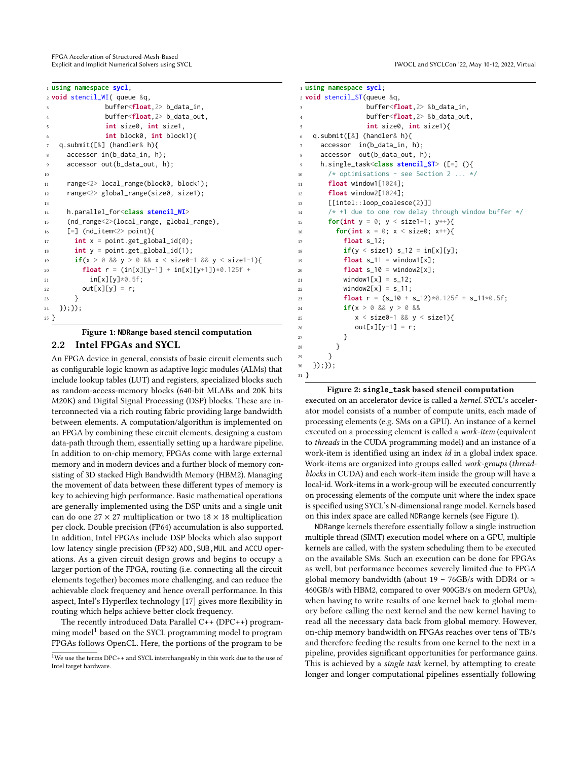FPGA Acceleration of Structured-Mesh-Based Explicit and Implicit Numerical Solvers using SYCL **Interact and SYCLOON** in State 1970 and SYCLOON '22, May 10-12, 2022, Virtual

<span id="page-2-1"></span>

|                | 1 using namespace sycl;                               |
|----------------|-------------------------------------------------------|
|                | $2$ void stencil_WI( queue $\&q$ ,                    |
| 3              | buffer <float,2>b_data_in,</float,2>                  |
| $\overline{4}$ | buffer <float, 2=""> b_data_out,</float,>             |
| 5              | int size0, int size1,                                 |
| 6              | int block0, int block1                                |
| $\tau$         | q.submit( $[\&]$ (handler& h){                        |
| 8              | accessor in(b_data_in, h);                            |
| 9              | accessor out(b_data_out, h);                          |
| 10             |                                                       |
| 11             | range<2> local_range(block0, block1);                 |
| 12             | range<2> global_range(size0, size1);                  |
| 13             |                                                       |
| 14             | h.parallel_for <class stencil_wi=""></class>          |
| 15             | (nd_range<2>(local_range, global_range),              |
| 16             | $[-]$ (nd_item<2> point){                             |
| 17             | $int x = point.get_global_id(\emptyset);$             |
| 18             | $int y = point.get_global_id(1);$                     |
| 19             | if(x > 0 && y > 0 && x < size0-1 && y < size1-1){     |
| 20             | <b>float</b> $r = (in[x][y-1] + in[x][y+1])*0.125f +$ |
| 21             | $in[x][y]*0.5f;$                                      |
| 22             | $out[x][y] = r;$                                      |
| 23             | }                                                     |
| 24             | $\})$ ; $\})$ ;                                       |
| 25}            |                                                       |

# Figure 1: **NDRange** based stencil computation 2.2 Intel FPGAs and SYCL

An FPGA device in general, consists of basic circuit elements such as configurable logic known as adaptive logic modules (ALMs) that include lookup tables (LUT) and registers, specialized blocks such as random-access-memory blocks (640-bit MLABs and 20K bits M20K) and Digital Signal Processing (DSP) blocks. These are interconnected via a rich routing fabric providing large bandwidth between elements. A computation/algorithm is implemented on an FPGA by combining these circuit elements, designing a custom data-path through them, essentially setting up a hardware pipeline. In addition to on-chip memory, FPGAs come with large external memory and in modern devices and a further block of memory consisting of 3D stacked High Bandwidth Memory (HBM2). Managing the movement of data between these different types of memory is key to achieving high performance. Basic mathematical operations are generally implemented using the DSP units and a single unit can do one 27  $\times$  27 multiplication or two 18  $\times$  18 multiplication per clock. Double precision (FP64) accumulation is also supported. In addition, Intel FPGAs include DSP blocks which also support low latency single precision (FP32) ADD, SUB, MUL and ACCU operations. As a given circuit design grows and begins to occupy a larger portion of the FPGA, routing (i.e. connecting all the circuit elements together) becomes more challenging, and can reduce the achievable clock frequency and hence overall performance. In this aspect, Intel's Hyperflex technology [\[17\]](#page-9-12) gives more flexibility in routing which helps achieve better clock frequency.

The recently introduced Data Parallel C++ (DPC++) program-ming model<sup>[1](#page-2-0)</sup> based on the SYCL programming model to program FPGAs follows OpenCL. Here, the portions of the program to be

```
1 using namespace sycl;
2 void stencil_ST(queue &q,
3 buffer<float,2> &b_data_in,
               4 buffer<float,2> &b_data_out,
               5 int size0, int size1){
   6 q.submit([&] (handler& h){
     accessor in(b data in, h):
     accessor out(b_data_out, h);
     9 h.single_task<class stencil_ST> ([=] (){
10 /* optimisations - see Section 2 ... */
11 float window1[1024];
12 float window2[1024];
13 [[intel::loop_coalesce(2)]]
14 /* +1 due to one row delay through window buffer */
15 for(int y = 0; y < size1+1; y^{++}){
16 for(int x = 0; x < size0; x++){
17 float s_12;
18 if(y < size1) s_{12} = in[x][y];19 float s_11 = window1[x];
20 float s_10 = window2[x];
21 window1[x] = s_12;
22 window2[x] = s_11;
23 float r = (s_10 + s_112)*0.125f + s_11*0.5f;24 if(x > 0 && y > 0 &&
25 x < size\theta-1 && y < size1){
26 out[x][y-1] = r;
27 }
28 }
29 }
30 });});
31 }
```
#### Figure 2: **single\_task** based stencil computation

executed on an accelerator device is called a kernel. SYCL's accelerator model consists of a number of compute units, each made of processing elements (e.g. SMs on a GPU). An instance of a kernel executed on a processing element is called a work-item (equivalent to threads in the CUDA programming model) and an instance of a work-item is identified using an index id in a global index space. Work-items are organized into groups called work-groups (threadblocks in CUDA) and each work-item inside the group will have a local-id. Work-items in a work-group will be executed concurrently on processing elements of the compute unit where the index space is specified using SYCL's N-dimensional range model. Kernels based on this index space are called NDRange kernels (see Figure [1\)](#page-2-1).

NDRange kernels therefore essentially follow a single instruction multiple thread (SIMT) execution model where on a GPU, multiple kernels are called, with the system scheduling them to be executed on the available SMs. Such an execution can be done for FPGAs as well, but performance becomes severely limited due to FPGA global memory bandwidth (about 19 – 76GB/s with DDR4 or  $\approx$ 460GB/s with HBM2, compared to over 900GB/s on modern GPUs), when having to write results of one kernel back to global memory before calling the next kernel and the new kernel having to read all the necessary data back from global memory. However, on-chip memory bandwidth on FPGAs reaches over tens of TB/s and therefore feeding the results from one kernel to the next in a pipeline, provides significant opportunities for performance gains. This is achieved by a single task kernel, by attempting to create longer and longer computational pipelines essentially following

<span id="page-2-0"></span><sup>&</sup>lt;sup>1</sup>We use the terms DPC++ and SYCL interchangeably in this work due to the use of Intel target hardware.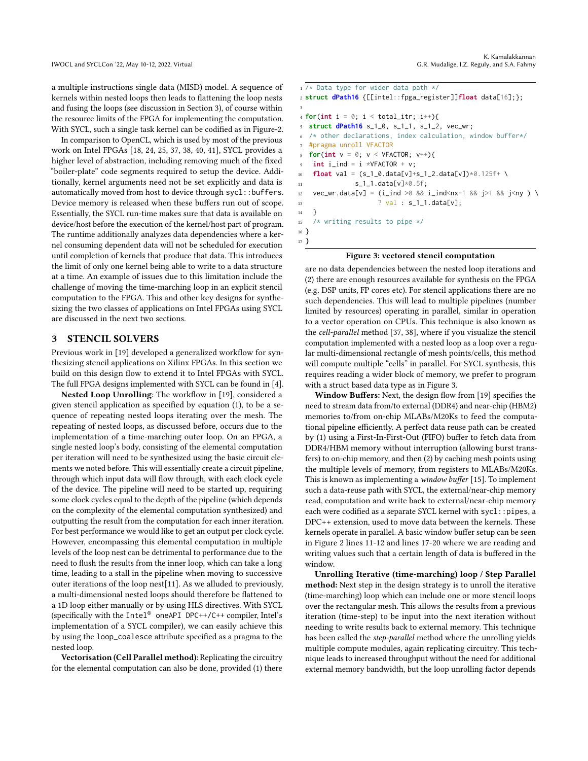a multiple instructions single data (MISD) model. A sequence of kernels within nested loops then leads to flattening the loop nests and fusing the loops (see discussion in Section [3\)](#page-3-0), of course within the resource limits of the FPGA for implementing the computation. With SYCL, such a single task kernel can be codified as in Figure[-2.](#page-2-2)

In comparison to OpenCL, which is used by most of the previous work on Intel FPGAs [\[18,](#page-9-13) [24,](#page-10-14) [25,](#page-10-12) [37,](#page-10-8) [38,](#page-10-9) [40,](#page-10-10) [41\]](#page-10-15), SYCL provides a higher level of abstraction, including removing much of the fixed "boiler-plate" code segments required to setup the device. Additionally, kernel arguments need not be set explicitly and data is automatically moved from host to device through  $sycl:$ : buffers. Device memory is released when these buffers run out of scope. Essentially, the SYCL run-time makes sure that data is available on device/host before the execution of the kernel/host part of program. The runtime additionally analyzes data dependencies where a kernel consuming dependent data will not be scheduled for execution until completion of kernels that produce that data. This introduces the limit of only one kernel being able to write to a data structure at a time. An example of issues due to this limitation include the challenge of moving the time-marching loop in an explicit stencil computation to the FPGA. This and other key designs for synthesizing the two classes of applications on Intel FPGAs using SYCL are discussed in the next two sections.

### <span id="page-3-0"></span>3 STENCIL SOLVERS

Previous work in [\[19\]](#page-9-2) developed a generalized workflow for synthesizing stencil applications on Xilinx FPGAs. In this section we build on this design flow to extend it to Intel FPGAs with SYCL. The full FPGA designs implemented with SYCL can be found in [\[4\]](#page-9-14).

Nested Loop Unrolling: The workflow in [\[19\]](#page-9-2), considered a given stencil application as specified by equation [\(1\)](#page-1-1), to be a sequence of repeating nested loops iterating over the mesh. The repeating of nested loops, as discussed before, occurs due to the implementation of a time-marching outer loop. On an FPGA, a single nested loop's body, consisting of the elemental computation per iteration will need to be synthesized using the basic circuit elements we noted before. This will essentially create a circuit pipeline, through which input data will flow through, with each clock cycle of the device. The pipeline will need to be started up, requiring some clock cycles equal to the depth of the pipeline (which depends on the complexity of the elemental computation synthesized) and outputting the result from the computation for each inner iteration. For best performance we would like to get an output per clock cycle. However, encompassing this elemental computation in multiple levels of the loop nest can be detrimental to performance due to the need to flush the results from the inner loop, which can take a long time, leading to a stall in the pipeline when moving to successive outer iterations of the loop nest[\[11\]](#page-9-9). As we alluded to previously, a multi-dimensional nested loops should therefore be flattened to a 1D loop either manually or by using HLS directives. With SYCL (specifically with the Intel® oneAPI DPC++/C++ compiler, Intel's implementation of a SYCL compiler), we can easily achieve this by using the loop\_coalesce attribute specified as a pragma to the nested loop.

Vectorisation (Cell Parallel method): Replicating the circuitry for the elemental computation can also be done, provided (1) there

```
1 /* Data type for wider data path */
2 struct dPath16 {[[intel::fpga_register]]float data[16];};
3
4 for(int i = 0; i < total_itr; i++){
5 struct dPath16 s_1_0, s_1_1, s_1_2, vec_wr;
6 /* other declarations, index calculation, window buffer*/
  #pragma unroll VFACTOR
8 for(int v = 0; v < VFACTOR; v++){
   int i\_ind = i *VFACTOR + v;10 float val = (s_1_0.data[v]+s_1_2.data[v])*0.125f+ \
11 s_1 - s_1 - s_2 = s_1 - s_2 = s_212 vec_wr.data[v] = (i_ind >0 && i_ind<nx-1 && j>1 && j<ny ) \
13 ? val : s_1_1.data[v];
14   }
15 /* writing results to pipe */
16 }
17 }
```
#### Figure 3: vectored stencil computation

are no data dependencies between the nested loop iterations and (2) there are enough resources available for synthesis on the FPGA (e.g. DSP units, FP cores etc). For stencil applications there are no such dependencies. This will lead to multiple pipelines (number limited by resources) operating in parallel, similar in operation to a vector operation on CPUs. This technique is also known as the cell-parallel method [\[37,](#page-10-8) [38\]](#page-10-9), where if you visualize the stencil computation implemented with a nested loop as a loop over a regular multi-dimensional rectangle of mesh points/cells, this method will compute multiple "cells" in parallel. For SYCL synthesis, this requires reading a wider block of memory, we prefer to program with a struct based data type as in Figure [3.](#page-3-1)

Window Buffers: Next, the design flow from [\[19\]](#page-9-2) specifies the need to stream data from/to external (DDR4) and near-chip (HBM2) memories to/from on-chip MLABs/M20Ks to feed the computational pipeline efficiently. A perfect data reuse path can be created by (1) using a First-In-First-Out (FIFO) buffer to fetch data from DDR4/HBM memory without interruption (allowing burst transfers) to on-chip memory, and then (2) by caching mesh points using the multiple levels of memory, from registers to MLABs/M20Ks. This is known as implementing a window buffer [\[15\]](#page-9-15). To implement such a data-reuse path with SYCL, the external/near-chip memory read, computation and write back to external/near-chip memory each were codified as a separate SYCL kernel with sycl::pipes, a DPC++ extension, used to move data between the kernels. These kernels operate in parallel. A basic window buffer setup can be seen in Figure [2](#page-2-2) lines 11-12 and lines 17-20 where we are reading and writing values such that a certain length of data is buffered in the window.

Unrolling Iterative (time-marching) loop / Step Parallel method: Next step in the design strategy is to unroll the iterative (time-marching) loop which can include one or more stencil loops over the rectangular mesh. This allows the results from a previous iteration (time-step) to be input into the next iteration without needing to write results back to external memory. This technique has been called the step-parallel method where the unrolling yields multiple compute modules, again replicating circuitry. This technique leads to increased throughput without the need for additional external memory bandwidth, but the loop unrolling factor depends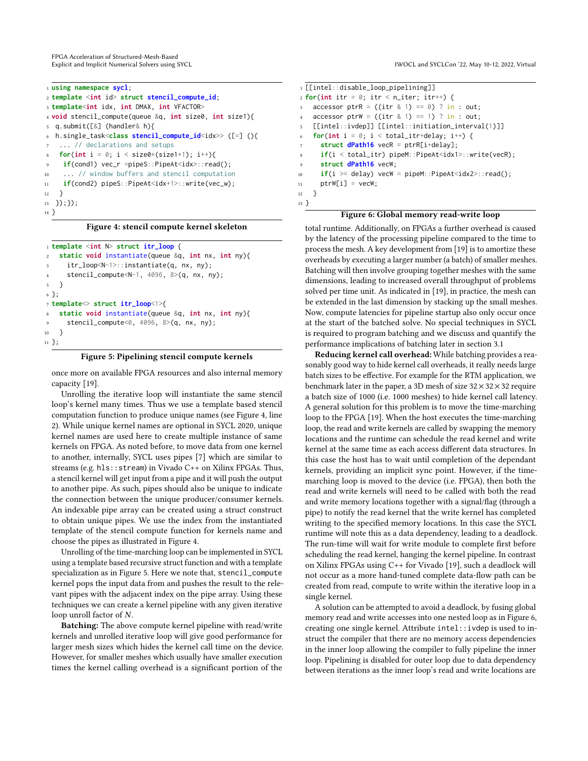FPGA Acceleration of Structured-Mesh-Based

<sup>1</sup> **using namespace sycl**; <sup>2</sup> **template** <**int** id> **struct stencil\_compute\_id**; <sup>3</sup> **template**<**int** idx, **int** DMAX, **int** VFACTOR> <sup>4</sup> **void** stencil\_compute(queue &q, **int** size0, **int** size1){ <sup>5</sup> q.submit([&] (handler& h){ <sup>6</sup> h.single\_task<**class stencil\_compute\_id**<idx>> ([=] (){ ... // declarations and setups **for(int** i = 0; i < size0\*(size1+1); i++){ if(cond1) vec\_r =pipeS::PipeAt<idx>::read(); <sup>10</sup> ... // window buffers and stencil computation 11 **if**(cond2) pipeS::PipeAt<idx+1>::write(vec\_w); <sup>12</sup> } <sup>13</sup> });}); <sup>14</sup> }

#### Figure 4: stencil compute kernel skeleton

```
1 template <int N> struct itr_loop {
    2 static void instantiate(queue &q, int nx, int ny){
      itr_loop<N-1>::instantiate(q, nx, ny);
      stencil_compute<N-1, 4096, 8>(q, nx, ny);
5 }
6 };
7 template<> struct itr_loop<1>{
    8 static void instantiate(queue &q, int nx, int ny){
      stencil_compute<0, 4096, 8>(q, nx, ny);
10 }
11 };
```


once more on available FPGA resources and also internal memory capacity [\[19\]](#page-9-2).

Unrolling the iterative loop will instantiate the same stencil loop's kernel many times. Thus we use a template based stencil computation function to produce unique names (see Figure [4,](#page-4-0) line 2). While unique kernel names are optional in SYCL 2020, unique kernel names are used here to create multiple instance of same kernels on FPGA. As noted before, to move data from one kernel to another, internally, SYCL uses pipes [\[7\]](#page-9-16) which are similar to streams (e.g. hls::stream) in Vivado C++ on Xilinx FPGAs. Thus, a stencil kernel will get input from a pipe and it will push the output to another pipe. As such, pipes should also be unique to indicate the connection between the unique producer/consumer kernels. An indexable pipe array can be created using a struct construct to obtain unique pipes. We use the index from the instantiated template of the stencil compute function for kernels name and choose the pipes as illustrated in Figure [4.](#page-4-0)

Unrolling of the time-marching loop can be implemented in SYCL using a template based recursive struct function and with a template specialization as in Figure [5.](#page-4-1) Here we note that, stencil\_compute kernel pops the input data from and pushes the result to the relevant pipes with the adjacent index on the pipe array. Using these techniques we can create a kernel pipeline with any given iterative loop unroll factor of  $N$ .

Batching: The above compute kernel pipeline with read/write kernels and unrolled iterative loop will give good performance for larger mesh sizes which hides the kernel call time on the device. However, for smaller meshes which usually have smaller execution times the kernel calling overhead is a significant portion of the

<span id="page-4-0"></span>Explicit and Implicit Numerical Solvers using SYCL **INTER 2008** 2009 12:00 12:00 12:00 12:00 12:00 12:00 12:00 12:00 12:00 12:00 12:00 12:00 12:00 12:00 12:00 12:00 12:00 12:00 12:00 12:00 12:00 12:00 12:00 12:00 12:00 12:

<span id="page-4-2"></span><sup>1</sup> [[intel::disable\_loop\_pipelining]]  $2$  **for(int** itr =  $0$ ; itr < n\_iter; itr++) { 3 accessor ptrR =  $((\text{itr } 8 1) == 0) ? \text{ in : out};$ accessor ptrW =  $((\text{itr } 8 1) == 1) ? \text{ in } : \text{ out};$ <sup>5</sup> [[intel::ivdep]] [[intel::initiation\_interval(1)]] for(int  $i = 0$ ;  $i < total\_itr + delay$ ;  $i++)$  { <sup>7</sup> **struct dPath16** vecR = ptrR[i+delay]; <sup>8</sup> **if**(i < total\_itr) pipeM::PipeAt<idx1>::write(vecR); struct dPath16 vecW; <sup>10</sup> **if**(i >= delay) vecW = pipeM::PipeAt<idx2>::read();  $11$  ptrW[i] = vecW; <sup>12</sup> } <sup>13</sup> }

### Figure 6: Global memory read-write loop

total runtime. Additionally, on FPGAs a further overhead is caused by the latency of the processing pipeline compared to the time to process the mesh. A key development from [\[19\]](#page-9-2) is to amortize these overheads by executing a larger number (a batch) of smaller meshes. Batching will then involve grouping together meshes with the same dimensions, leading to increased overall throughput of problems solved per time unit. As indicated in [\[19\]](#page-9-2), in practice, the mesh can be extended in the last dimension by stacking up the small meshes. Now, compute latencies for pipeline startup also only occur once at the start of the batched solve. No special techniques in SYCL is required to program batching and we discuss and quantify the performance implications of batching later in section [3.1](#page-5-1)

Reducing kernel call overhead: While batching provides a reasonably good way to hide kernel call overheads, it really needs large batch sizes to be effective. For example for the RTM application, we benchmark later in the paper, a 3D mesh of size  $32 \times 32 \times 32$  require a batch size of 1000 (i.e. 1000 meshes) to hide kernel call latency. A general solution for this problem is to move the time-marching loop to the FPGA [\[19\]](#page-9-2). When the host executes the time-marching loop, the read and write kernels are called by swapping the memory locations and the runtime can schedule the read kernel and write kernel at the same time as each access different data structures. In this case the host has to wait until completion of the dependant kernels, providing an implicit sync point. However, if the timemarching loop is moved to the device (i.e. FPGA), then both the read and write kernels will need to be called with both the read and write memory locations together with a signal/flag (through a pipe) to notify the read kernel that the write kernel has completed writing to the specified memory locations. In this case the SYCL runtime will note this as a data dependency, leading to a deadlock. The run-time will wait for write module to complete first before scheduling the read kernel, hanging the kernel pipeline. In contrast on Xilinx FPGAs using C++ for Vivado [\[19\]](#page-9-2), such a deadlock will not occur as a more hand-tuned complete data-flow path can be created from read, compute to write within the iterative loop in a single kernel.

A solution can be attempted to avoid a deadlock, by fusing global memory read and write accesses into one nested loop as in Figure [6,](#page-4-2) creating one single kernel. Attribute intel::ivdep is used to instruct the compiler that there are no memory access dependencies in the inner loop allowing the compiler to fully pipeline the inner loop. Pipelining is disabled for outer loop due to data dependency between iterations as the inner loop's read and write locations are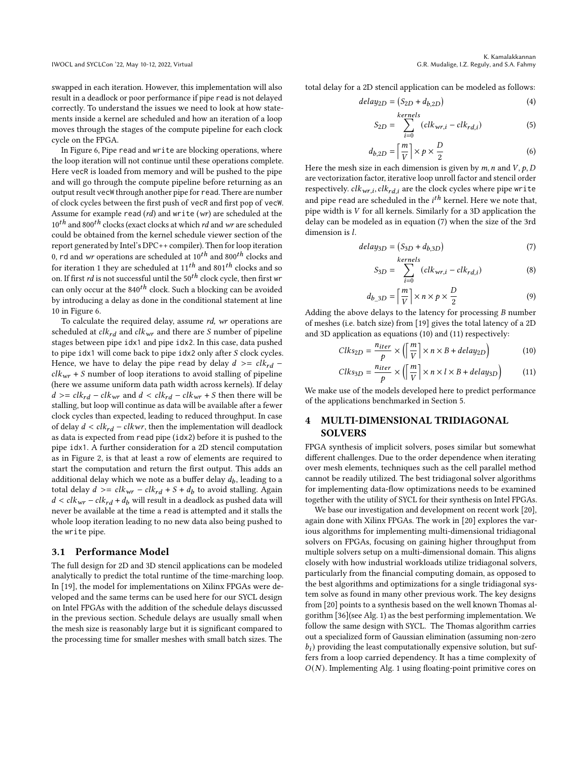swapped in each iteration. However, this implementation will also result in a deadlock or poor performance if pipe read is not delayed correctly. To understand the issues we need to look at how statements inside a kernel are scheduled and how an iteration of a loop moves through the stages of the compute pipeline for each clock cycle on the FPGA.

In Figure [6,](#page-4-2) Pipe read and write are blocking operations, where the loop iteration will not continue until these operations complete. Here vecR is loaded from memory and will be pushed to the pipe and will go through the compute pipeline before returning as an output result vecW through another pipe for read. There are number of clock cycles between the first push of vecR and first pop of vecW. Assume for example read  $(rd)$  and write  $(wr)$  are scheduled at the  $10^{th}$  and 800<sup>th</sup> clocks (exact clocks at which *rd* and wr are scheduled could be obtained from the kernel schedule viewer section of the report generated by Intel's DPC++ compiler). Then for loop iteration 0, rd and wr operations are scheduled at  $10^{th}$  and  $800^{th}$  clocks and for iteration 1 they are scheduled at  $11^{th}$  and  $801^{th}$  clocks and so on. If first rd is not successful until the  $50<sup>th</sup>$  clock cycle, then first wr can only occur at the  $840<sup>th</sup>$  clock. Such a blocking can be avoided by introducing a delay as done in the conditional statement at line 10 in Figure [6.](#page-4-2)

To calculate the required delay, assume rd, wr operations are scheduled at  $clk_{rd}$  and  $clk_{wr}$  and there are *S* number of pipeline stages between pipe idx1 and pipe idx2. In this case, data pushed to pipe idx1 will come back to pipe idx2 only after  $S$  clock cycles. Hence, we have to delay the pipe read by delay  $d \geq -c l k_{rd}$  –  $clk_{wr}$  + S number of loop iterations to avoid stalling of pipeline (here we assume uniform data path width across kernels). If delay  $d \geq c l k_{rd} - c l k_{wr}$  and  $d \lt c l k_{rd} - c l k_{wr} + S$  then there will be stalling, but loop will continue as data will be available after a fewer clock cycles than expected, leading to reduced throughput. In case of delay  $d < clk_{rd} - clkwr$ , then the implementation will deadlock as data is expected from read pipe (idx2) before it is pushed to the pipe idx1. A further consideration for a 2D stencil computation as in Figure [2,](#page-2-2) is that at least a row of elements are required to start the computation and return the first output. This adds an additional delay which we note as a buffer delay  $d_b$ , leading to a total delay  $d \geq c l k_{wr} - c l k_{rd} + S + d_b$  to avoid stalling. Again  $d < c l k_{wr} - c l k_{rd} + d_b$  will result in a deadlock as pushed data will never be available at the time a read is attempted and it stalls the whole loop iteration leading to no new data also being pushed to the write pipe.

### <span id="page-5-1"></span>3.1 Performance Model

The full design for 2D and 3D stencil applications can be modeled analytically to predict the total runtime of the time-marching loop. In [\[19\]](#page-9-2), the model for implementations on Xilinx FPGAs were developed and the same terms can be used here for our SYCL design on Intel FPGAs with the addition of the schedule delays discussed in the previous section. Schedule delays are usually small when the mesh size is reasonably large but it is significant compared to the processing time for smaller meshes with small batch sizes. The

total delay for a 2D stencil application can be modeled as follows:

$$
delay_{2D} = (S_{2D} + d_{b,2D})
$$
\n(4)

$$
S_{2D} = \sum_{i}^{kernels} (clk_{wr,i} -clk_{rd,i})
$$
 (5)

$$
d_{b,2D} = \left\lceil \frac{m}{V} \right\rceil \times p \times \frac{D}{2}
$$
 (6)

Here the mesh size in each dimension is given by  $m$ ,  $n$  and  $V$ ,  $p$ ,  $D$ are vectorization factor, iterative loop unroll factor and stencil order respectively.  $clk_{wr,i}, elk_{rd,i}$  are the clock cycles where pipe write and pipe read are scheduled in the  $i<sup>th</sup>$  kernel. Here we note that, pipe width is  $V$  for all kernels. Similarly for a 3D application the delay can be modeled as in equation [\(7\)](#page-5-2) when the size of the 3rd dimension is  $l$ .

$$
delay_{3D} = (S_{3D} + d_{b,3D})
$$
\n(7)

<span id="page-5-2"></span>
$$
S_{3D} = \sum_{i=0}^{Kerners} (clk_{wr,i} -clk_{rd,i})
$$
 (8)

<span id="page-5-4"></span><span id="page-5-3"></span>
$$
d_{b\_3D} = \left\lceil \frac{m}{V} \right\rceil \times n \times p \times \frac{D}{2}
$$
 (9)

Adding the above delays to the latency for processing  $B$  number of meshes (i.e. batch size) from [\[19\]](#page-9-2) gives the total latency of a 2D and 3D application as equations [\(10\)](#page-5-3) and [\(11\)](#page-5-4) respectively:

$$
Clks_{2D} = \frac{n_{iter}}{p} \times \left( \left\lfloor \frac{m}{V} \right\rfloor \times n \times B + delay_{2D} \right) \tag{10}
$$

$$
Clks_{3D} = \frac{n_{iter}}{p} \times \left( \left\lfloor \frac{m}{V} \right\rfloor \times n \times l \times B + delay_{3D} \right) \tag{11}
$$

We make use of the models developed here to predict performance of the applications benchmarked in Section [5.](#page-6-0)

# <span id="page-5-0"></span>4 MULTI-DIMENSIONAL TRIDIAGONAL SOLVERS

FPGA synthesis of implicit solvers, poses similar but somewhat different challenges. Due to the order dependence when iterating over mesh elements, techniques such as the cell parallel method cannot be readily utilized. The best tridiagonal solver algorithms for implementing data-flow optimizations needs to be examined together with the utility of SYCL for their synthesis on Intel FPGAs.

We base our investigation and development on recent work [\[20\]](#page-9-3), again done with Xilinx FPGAs. The work in [\[20\]](#page-9-3) explores the various algorithms for implementing multi-dimensional tridiagonal solvers on FPGAs, focusing on gaining higher throughput from multiple solvers setup on a multi-dimensional domain. This aligns closely with how industrial workloads utilize tridiagonal solvers, particularly from the financial computing domain, as opposed to the best algorithms and optimizations for a single tridiagonal system solve as found in many other previous work. The key designs from [\[20\]](#page-9-3) points to a synthesis based on the well known Thomas algorithm [\[36\]](#page-10-3)(see Alg. [1\)](#page-6-1) as the best performing implementation. We follow the same design with SYCL. The Thomas algorithm carries out a specialized form of Gaussian elimination (assuming non-zero  $b_i$ ) providing the least computationally expensive solution, but suffers from a loop carried dependency. It has a time complexity of  $O(N)$ . Implementing Alg. [1](#page-6-1) using floating-point primitive cores on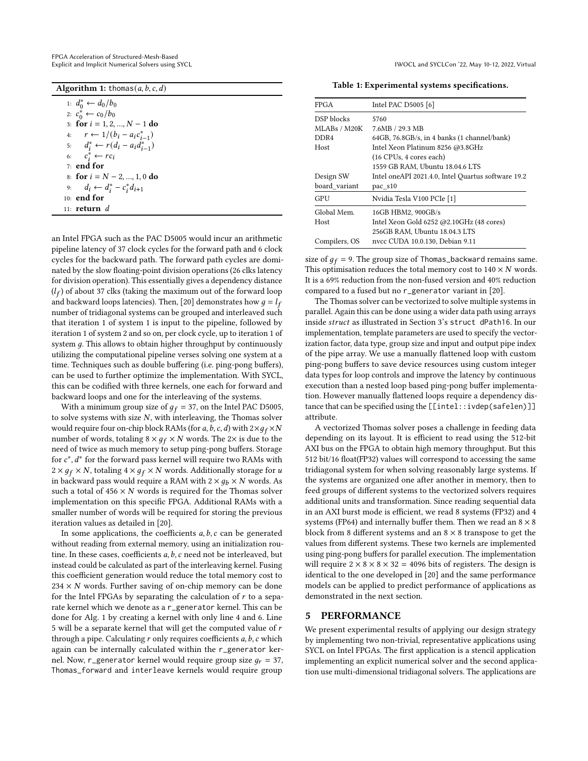| FPGA Acceleration of Structured-Mesh-Based         |
|----------------------------------------------------|
| Explicit and Implicit Numerical Solvers using SYCI |

| <b>Algorithm 1:</b> thomas(a, b, c, d)       |  |  |  |
|----------------------------------------------|--|--|--|
| 1: $d_0^* \leftarrow d_0/b_0$                |  |  |  |
| 2: $c_0^* \leftarrow c_0/b_0$                |  |  |  |
| 3: for $i = 1, 2, , N - 1$ do                |  |  |  |
| 4: $r \leftarrow 1/(b_i - a_i c_{i-1}^*)$    |  |  |  |
| 5: $d_i^* \leftarrow r(d_i - a_i d_{i-1}^*)$ |  |  |  |
| 6: $c_i^* \leftarrow rc_i$                   |  |  |  |
| $71$ end for                                 |  |  |  |
| 8: for $i = N - 2, , 1, 0$ do                |  |  |  |
| 9: $d_i \leftarrow d_i^* - c_i^* d_{i+1}$    |  |  |  |
| 10: end for                                  |  |  |  |
| 11: $return d$                               |  |  |  |

<span id="page-6-1"></span>an Intel FPGA such as the PAC D5005 would incur an arithmetic pipeline latency of 37 clock cycles for the forward path and 6 clock cycles for the backward path. The forward path cycles are dominated by the slow floating-point division operations (26 clks latency for division operation). This essentially gives a dependency distance  $(l_f)$  of about 37 clks (taking the maximum out of the forward loop and backward loops latencies). Then, [\[20\]](#page-9-3) demonstrates how  $g = l_f$ number of tridiagonal systems can be grouped and interleaved such that iteration 1 of system 1 is input to the pipeline, followed by iteration 1 of system 2 and so on, per clock cycle, up to iteration 1 of system  $g$ . This allows to obtain higher throughput by continuously utilizing the computational pipeline verses solving one system at a time. Techniques such as double buffering (i.e. ping-pong buffers), can be used to further optimize the implementation. With SYCL, this can be codified with three kernels, one each for forward and backward loops and one for the interleaving of the systems.

With a minimum group size of  $g_f = 37$ , on the Intel PAC D5005, to solve systems with size  $N$ , with interleaving, the Thomas solver would require four on-chip block RAMs (for a, b, c, d) with  $2 \times g_f \times N$ number of words, totaling  $8 \times g_f \times N$  words. The 2× is due to the need of twice as much memory to setup ping-pong buffers. Storage for  $c^*$ ,  $d^*$  for the forward pass kernel will require two RAMs with  $2 \times g_f \times N$ , totaling  $4 \times g_f \times N$  words. Additionally storage for u in backward pass would require a RAM with  $2 \times g_b \times N$  words. As such a total of  $456 \times N$  words is required for the Thomas solver implementation on this specific FPGA. Additional RAMs with a smaller number of words will be required for storing the previous iteration values as detailed in [\[20\]](#page-9-3).

In some applications, the coefficients  $a, b, c$  can be generated without reading from external memory, using an initialization routine. In these cases, coefficients  $a, b, c$  need not be interleaved, but instead could be calculated as part of the interleaving kernel. Fusing this coefficient generation would reduce the total memory cost to  $234 \times N$  words. Further saving of on-chip memory can be done for the Intel FPGAs by separating the calculation of  $r$  to a separate kernel which we denote as a r\_generator kernel. This can be done for Alg. [1](#page-6-1) by creating a kernel with only line 4 and 6. Line 5 will be a separate kernel that will get the computed value of  $r$ through a pipe. Calculating  $r$  only requires coefficients  $a, b, c$  which again can be internally calculated within the r\_generator kernel. Now, r\_generator kernel would require group size  $q_r = 37$ , Thomas\_forward and interleave kernels would require group

Explicit and Implicit Numerical Solvers using SYCL IWOCL and SYCLCon '22, May 10-12, 2022, Virtual

Table 1: Experimental systems specifications.

<span id="page-6-2"></span>

| FPGA          | Intel PAC D5005 [6]                                |  |  |  |
|---------------|----------------------------------------------------|--|--|--|
| DSP blocks    | 5760                                               |  |  |  |
| MLABs / M20K  | 7.6MB / 29.3 MB                                    |  |  |  |
| DDR4          | $64GB$ , $76.8GB/s$ , in 4 banks (1 channel/bank)  |  |  |  |
| Host          | Intel Xeon Platinum 8256 @3.8GHz                   |  |  |  |
|               | (16 CPUs, 4 cores each)                            |  |  |  |
|               | 1559 GB RAM, Ubuntu 18.04.6 LTS                    |  |  |  |
| Design SW     | Intel oneAPI 2021.4.0, Intel Quartus software 19.2 |  |  |  |
| board variant | pac s10                                            |  |  |  |
| GPU           | Nvidia Tesla V100 PCIe [1]                         |  |  |  |
| Global Mem.   | 16GB HBM2, 900GB/s                                 |  |  |  |
| Host          | Intel Xeon Gold 6252 @2.10GHz (48 cores)           |  |  |  |
|               | 256GB RAM, Ubuntu 18.04.3 LTS                      |  |  |  |
| Compilers, OS | nvcc CUDA 10.0.130, Debian 9.11                    |  |  |  |
|               |                                                    |  |  |  |

size of  $g_f = 9$ . The group size of Thomas\_backward remains same. This optimisation reduces the total memory cost to  $140 \times N$  words. It is a 69% reduction from the non-fused version and 40% reduction compared to a fused but no r\_generator variant in [\[20\]](#page-9-3).

The Thomas solver can be vectorized to solve multiple systems in parallel. Again this can be done using a wider data path using arrays inside struct as illustrated in Section [3'](#page-3-0)s struct dPath16. In our implementation, template parameters are used to specify the vectorization factor, data type, group size and input and output pipe index of the pipe array. We use a manually flattened loop with custom ping-pong buffers to save device resources using custom integer data types for loop controls and improve the latency by continuous execution than a nested loop based ping-pong buffer implementation. However manually flattened loops require a dependency distance that can be specified using the [[intel::ivdep(safelen)]] attribute.

A vectorized Thomas solver poses a challenge in feeding data depending on its layout. It is efficient to read using the 512-bit AXI bus on the FPGA to obtain high memory throughput. But this 512 bit/16 float(FP32) values will correspond to accessing the same tridiagonal system for when solving reasonably large systems. If the systems are organized one after another in memory, then to feed groups of different systems to the vectorized solvers requires additional units and transformation. Since reading sequential data in an AXI burst mode is efficient, we read 8 systems (FP32) and 4 systems (FP64) and internally buffer them. Then we read an  $8 \times 8$ block from 8 different systems and an  $8 \times 8$  transpose to get the values from different systems. These two kernels are implemented using ping-pong buffers for parallel execution. The implementation will require  $2 \times 8 \times 8 \times 32 = 4096$  bits of registers. The design is identical to the one developed in [\[20\]](#page-9-3) and the same performance models can be applied to predict performance of applications as demonstrated in the next section.

### <span id="page-6-0"></span>5 PERFORMANCE

We present experimental results of applying our design strategy by implementing two non-trivial, representative applications using SYCL on Intel FPGAs. The first application is a stencil application implementing an explicit numerical solver and the second application use multi-dimensional tridiagonal solvers. The applications are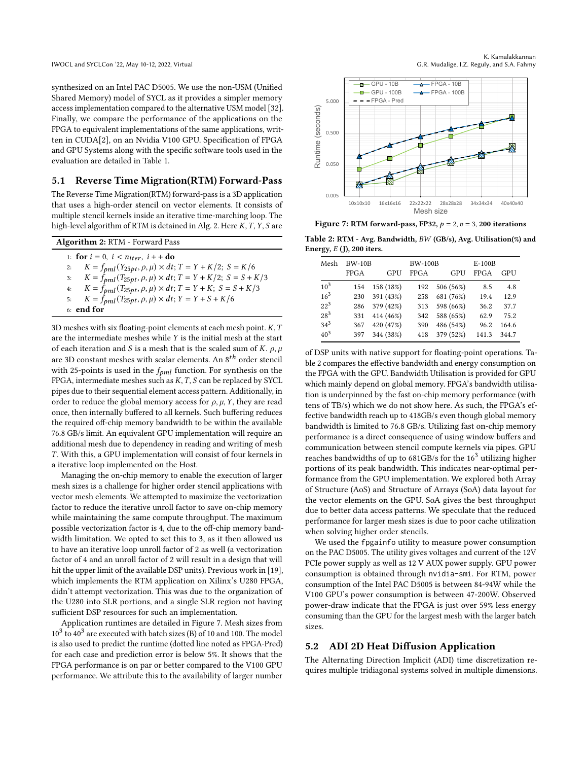synthesized on an Intel PAC D5005. We use the non-USM (Unified Shared Memory) model of SYCL as it provides a simpler memory access implementation compared to the alternative USM model [\[32\]](#page-10-16). Finally, we compare the performance of the applications on the FPGA to equivalent implementations of the same applications, written in CUDA[\[2\]](#page-9-19), on an Nvidia V100 GPU. Specification of FPGA and GPU Systems along with the specific software tools used in the evaluation are detailed in Table [1.](#page-6-2)

### 5.1 Reverse Time Migration(RTM) Forward-Pass

The Reverse Time Migration(RTM) forward-pass is a 3D application that uses a high-order stencil on vector elements. It consists of multiple stencil kernels inside an iterative time-marching loop. The high-level algorithm of RTM is detained in Alg. [2.](#page-7-0) Here  $K, T, Y, S$  are

<span id="page-7-0"></span>

| <b>Algorithm 2: RTM - Forward Pass</b> |                                                                                 |  |  |  |  |
|----------------------------------------|---------------------------------------------------------------------------------|--|--|--|--|
|                                        | 1: for $i = 0$ , $i < n_{iter}$ , $i + +$ do                                    |  |  |  |  |
|                                        | 2: $K = f_{pml}(Y_{25pt}, \rho, \mu) \times dt; T = Y + K/2; S = K/6$           |  |  |  |  |
|                                        | 3: $K = \bar{f}_{pml}(T_{25pt}, \rho, \mu) \times dt; T = Y + K/2; S = S + K/3$ |  |  |  |  |
|                                        | 4: $K = \bar{f}_{pml}(T_{25pt}, \rho, \mu) \times dt; T = Y + K; S = S + K/3$   |  |  |  |  |
|                                        | 5: $K=f_{pml}(T_{25pt},\rho,\mu)\times dt;Y=Y+S+K/6$                            |  |  |  |  |
|                                        | 6: end for                                                                      |  |  |  |  |

3D meshes with six floating-point elements at each mesh point.  $K, T$ are the intermediate meshes while  $Y$  is the initial mesh at the start of each iteration and *S* is a mesh that is the scaled sum of *K*.  $\rho$ ,  $\mu$ are 3D constant meshes with scalar elements. An  $8^{th}$  order stencil with 25-points is used in the  $f_{pml}$  function. For synthesis on the FPGA, intermediate meshes such as  $K$ ,  $T$ ,  $S$  can be replaced by SYCL pipes due to their sequential element access pattern. Additionally, in order to reduce the global memory access for  $\rho$ ,  $\mu$ ,  $Y$ , they are read once, then internally buffered to all kernels. Such buffering reduces the required off-chip memory bandwidth to be within the available 76.8 GB/s limit. An equivalent GPU implementation will require an additional mesh due to dependency in reading and writing of mesh . With this, a GPU implementation will consist of four kernels in a iterative loop implemented on the Host.

Managing the on-chip memory to enable the execution of larger mesh sizes is a challenge for higher order stencil applications with vector mesh elements. We attempted to maximize the vectorization factor to reduce the iterative unroll factor to save on-chip memory while maintaining the same compute throughput. The maximum possible vectorization factor is 4, due to the off-chip memory bandwidth limitation. We opted to set this to 3, as it then allowed us to have an iterative loop unroll factor of 2 as well (a vectorization factor of 4 and an unroll factor of 2 will result in a design that will hit the upper limit of the available DSP units). Previous work in [\[19\]](#page-9-2), which implements the RTM application on Xilinx's U280 FPGA, didn't attempt vectorization. This was due to the organization of the U280 into SLR portions, and a single SLR region not having sufficient DSP resources for such an implementation.

Application runtimes are detailed in Figure [7.](#page-7-1) Mesh sizes from  $10^3$  to  $40^3$  are executed with batch sizes (B) of 10 and 100. The model is also used to predict the runtime (dotted line noted as FPGA-Pred) for each case and prediction error is below 5%. It shows that the FPGA performance is on par or better compared to the V100 GPU performance. We attribute this to the availability of larger number

<span id="page-7-1"></span>

Figure 7: RTM forward-pass, FP32,  $p = 2$ ,  $v = 3$ , 200 iterations

<span id="page-7-2"></span>Table 2: RTM - Avg. Bandwidth, BW (GB/s), Avg. Utilisation(%) and Energy,  $E$  (J), 200 iters.

| Mesh     | <b>BW-10B</b> |           | <b>BW-100B</b> |           | $E-100B$    |       |
|----------|---------------|-----------|----------------|-----------|-------------|-------|
|          | <b>FPGA</b>   | GPU       | <b>FPGA</b>    | GPU       | <b>FPGA</b> | GPU   |
| $10^{3}$ | 154           | 158 (18%) | 192            | 506 (56%) | 8.5         | 4.8   |
| $16^3$   | 230           | 391 (43%) | 258            | 681 (76%) | 19.4        | 12.9  |
| $22^{3}$ | 286           | 379 (42%) | 313            | 598 (66%) | 36.2        | 37.7  |
| $28^{3}$ | 331           | 414 (46%) | 342            | 588 (65%) | 62.9        | 75.2  |
| $34^3$   | 367           | 420 (47%) | 390            | 486 (54%) | 96.2        | 164.6 |
| $40^{3}$ | 397           | 344 (38%) | 418            | 379 (52%) | 141.3       | 344.7 |

of DSP units with native support for floating-point operations. Table [2](#page-7-2) compares the effective bandwidth and energy consumption on the FPGA with the GPU. Bandwidth Utilisation is provided for GPU which mainly depend on global memory. FPGA's bandwidth utilisation is underpinned by the fast on-chip memory performance (with tens of TB/s) which we do not show here. As such, the FPGA's effective bandwidth reach up to 418GB/s even though global memory bandwidth is limited to 76.8 GB/s. Utilizing fast on-chip memory performance is a direct consequence of using window buffers and communication between stencil compute kernels via pipes. GPU reaches bandwidths of up to  $681GB/s$  for the  $16<sup>3</sup>$  utilizing higher portions of its peak bandwidth. This indicates near-optimal performance from the GPU implementation. We explored both Array of Structure (AoS) and Structure of Arrays (SoA) data layout for the vector elements on the GPU. SoA gives the best throughput due to better data access patterns. We speculate that the reduced performance for larger mesh sizes is due to poor cache utilization when solving higher order stencils.

We used the fpgainfo utility to measure power consumption on the PAC D5005. The utility gives voltages and current of the 12V PCIe power supply as well as 12 V AUX power supply. GPU power consumption is obtained through nvidia-smi. For RTM, power consumption of the Intel PAC D5005 is between 84-94W while the V100 GPU's power consumption is between 47-200W. Observed power-draw indicate that the FPGA is just over 59% less energy consuming than the GPU for the largest mesh with the larger batch sizes.

### 5.2 ADI 2D Heat Diffusion Application

The Alternating Direction Implicit (ADI) time discretization requires multiple tridiagonal systems solved in multiple dimensions.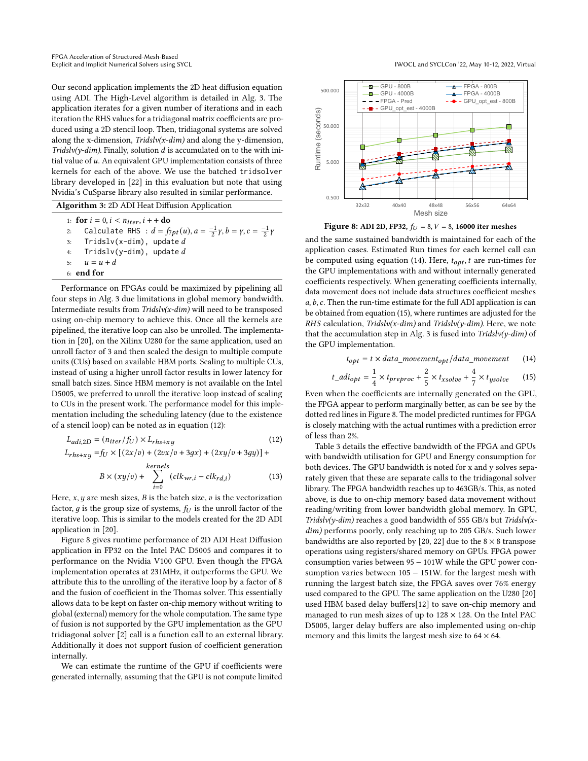Our second application implements the 2D heat diffusion equation using ADI. The High-Level algorithm is detailed in Alg. [3.](#page-8-0) The application iterates for a given number of iterations and in each iteration the RHS values for a tridiagonal matrix coefficients are produced using a 2D stencil loop. Then, tridiagonal systems are solved along the x-dimension,  $Tridslv(x-dim)$  and along the y-dimension, Tridslv(y-dim). Finally, solution  $d$  is accumulated on to the with initial value of  $u$ . An equivalent GPU implementation consists of three kernels for each of the above. We use the batched tridsolver library developed in [\[22\]](#page-9-20) in this evaluation but note that using Nvidia's CuSparse library also resulted in similar performance.

Algorithm 3: 2D ADI Heat Diffusion Application

| 1: for $i = 0, i < n_{iter}, i + +$ do |                                                                                                       |  |  |  |  |
|----------------------------------------|-------------------------------------------------------------------------------------------------------|--|--|--|--|
| 2:                                     | Calculate RHS : $d = f_{7pt}(u)$ , $a = \frac{-1}{2}\gamma$ , $b = \gamma$ , $c = \frac{-1}{2}\gamma$ |  |  |  |  |
|                                        | 3: Tridslv(x-dim), update $d$                                                                         |  |  |  |  |
| 4:                                     | Tridslv(y-dim), update $d$                                                                            |  |  |  |  |
|                                        | 5: $u = u + d$                                                                                        |  |  |  |  |
| $6:$ end for                           |                                                                                                       |  |  |  |  |

<span id="page-8-0"></span>Performance on FPGAs could be maximized by pipelining all four steps in Alg. [3](#page-8-0) due limitations in global memory bandwidth. Intermediate results from  $Tridslv(x-dim)$  will need to be transposed using on-chip memory to achieve this. Once all the kernels are pipelined, the iterative loop can also be unrolled. The implementation in [\[20\]](#page-9-3), on the Xilinx U280 for the same application, used an unroll factor of 3 and then scaled the design to multiple compute units (CUs) based on available HBM ports. Scaling to multiple CUs, instead of using a higher unroll factor results in lower latency for small batch sizes. Since HBM memory is not available on the Intel D5005, we preferred to unroll the iterative loop instead of scaling to CUs in the present work. The performance model for this implementation including the scheduling latency (due to the existence of a stencil loop) can be noted as in equation [\(12\)](#page-8-1):

$$
L_{adi,2D} = (n_{iter}/f_U) \times L_{rhs+xy}
$$
\n
$$
L_{rhs+xy} = f_U \times [(2x/v) + (2vx/v + 3gx) + (2xy/v + 3gy)] +
$$
\n
$$
kernels
$$
\n(12)

$$
B \times (xy/v) + \sum_{i=0}^{\text{ncross}} (clk_{wr,i} - elk_{rd,i})
$$
 (13)

Here,  $x$ ,  $y$  are mesh sizes,  $B$  is the batch size,  $v$  is the vectorization factor, q is the group size of systems,  $f_U$  is the unroll factor of the iterative loop. This is similar to the models created for the 2D ADI application in [\[20\]](#page-9-3).

Figure [8](#page-8-2) gives runtime performance of 2D ADI Heat Diffusion application in FP32 on the Intel PAC D5005 and compares it to performance on the Nvidia V100 GPU. Even though the FPGA implementation operates at 231MHz, it outperforms the GPU. We attribute this to the unrolling of the iterative loop by a factor of 8 and the fusion of coefficient in the Thomas solver. This essentially allows data to be kept on faster on-chip memory without writing to global (external) memory for the whole computation. The same type of fusion is not supported by the GPU implementation as the GPU tridiagonal solver [\[2\]](#page-9-19) call is a function call to an external library. Additionally it does not support fusion of coefficient generation internally.

We can estimate the runtime of the GPU if coefficients were generated internally, assuming that the GPU is not compute limited

<span id="page-8-2"></span>

Figure 8: ADI 2D, FP32,  $f_U = 8$ ,  $V = 8$ , 16000 iter meshes

and the same sustained bandwidth is maintained for each of the application cases. Estimated Run times for each kernel call can be computed using equation [\(14\)](#page-8-3). Here,  $t_{opt}$ , t are run-times for the GPU implementations with and without internally generated coefficients respectively. When generating coefficients internally, data movement does not include data structures coefficient meshes  $a, b, c$ . Then the run-time estimate for the full ADI application is can be obtained from equation [\(15\)](#page-8-4), where runtimes are adjusted for the RHS calculation, Tridslv(x-dim) and Tridslv(y-dim). Here, we note that the accumulation step in Alg. [3](#page-8-0) is fused into  $Tridslv(y-dim)$  of the GPU implementation.

<span id="page-8-4"></span><span id="page-8-3"></span>
$$
t_{opt} = t \times data\_movement_{opt}/data\_movement
$$
 (14)

$$
t\_adi_{opt} = \frac{1}{4} \times t_{preproc} + \frac{2}{5} \times t_{xsolve} + \frac{4}{7} \times t_{ysolve} \tag{15}
$$

Even when the coefficients are internally generated on the GPU, the FPGA appear to perform marginally better, as can be see by the dotted red lines in Figure [8.](#page-8-2) The model predicted runtimes for FPGA is closely matching with the actual runtimes with a prediction error of less than 2%.

<span id="page-8-1"></span>Table [3](#page-9-21) details the effective bandwidth of the FPGA and GPUs with bandwidth utilisation for GPU and Energy consumption for both devices. The GPU bandwidth is noted for x and y solves separately given that these are separate calls to the tridiagonal solver library. The FPGA bandwidth reaches up to 463GB/s. This, as noted above, is due to on-chip memory based data movement without reading/writing from lower bandwidth global memory. In GPU,  $Tridslv(v-dim)$  reaches a good bandwidth of 555 GB/s but  $Tridslv(x-dim)$ dim) performs poorly, only reaching up to 205 GB/s. Such lower bandwidths are also reported by [\[20,](#page-9-3) [22\]](#page-9-20) due to the  $8 \times 8$  transpose operations using registers/shared memory on GPUs. FPGA power consumption varies between 95 − 101W while the GPU power consumption varies between 105 − 151W. for the largest mesh with running the largest batch size, the FPGA saves over 76% energy used compared to the GPU. The same application on the U280 [\[20\]](#page-9-3) used HBM based delay buffers[\[12\]](#page-9-22) to save on-chip memory and managed to run mesh sizes of up to  $128 \times 128$ . On the Intel PAC D5005, larger delay buffers are also implemented using on-chip memory and this limits the largest mesh size to  $64 \times 64$ .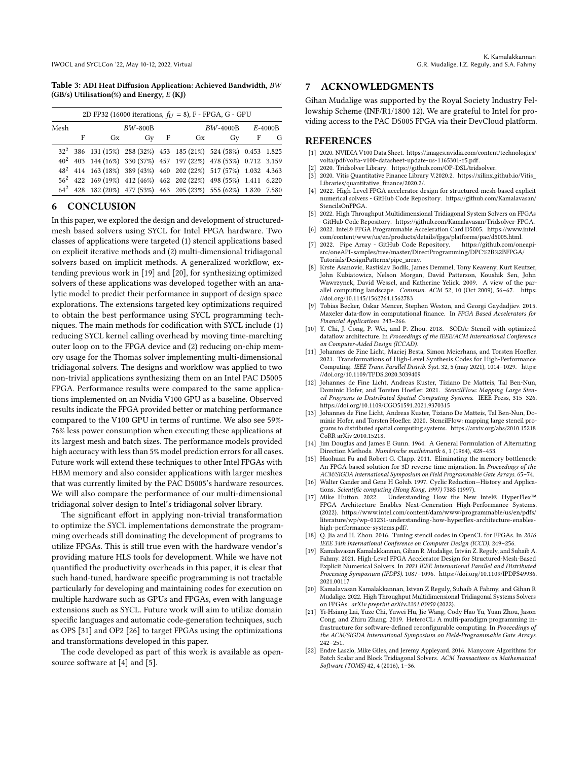<span id="page-9-21"></span>Table 3: ADI Heat Diffusion Application: Achieved Bandwidth, (GB/s) Utilisation(%) and Energy,  $E$  (KJ)

| 2D FP32 (16000 iterations, $f_U = 8$ ), F - FPGA, G - GPU |           |    |                                                                             |   |    |    |                      |   |  |
|-----------------------------------------------------------|-----------|----|-----------------------------------------------------------------------------|---|----|----|----------------------|---|--|
| Mesh                                                      | $BW-800B$ |    |                                                                             |   |    |    | $BW-4000B$ $E-4000B$ |   |  |
|                                                           | F         | Gx | Gv                                                                          | F | Gx | Gy | $\mathbf{F}$         | G |  |
|                                                           |           |    | $32^2$ 386 131 (15%) 288 (32%) 453 185 (21%) 524 (58%) 0.453 1.825          |   |    |    |                      |   |  |
|                                                           |           |    | $40^2$ 403 144 (16%) 330 (37%) 457 197 (22%) 478 (53%) 0.712 3.159          |   |    |    |                      |   |  |
|                                                           |           |    | $48^2$ 414 163 (18%) 389 (43%) 460 202 (22%) 517 (57%) 1.032 4.363          |   |    |    |                      |   |  |
|                                                           |           |    | 56 <sup>2</sup> 422 169 (19%) 412 (46%) 462 202 (22%) 498 (55%) 1.411 6.220 |   |    |    |                      |   |  |
|                                                           |           |    | 64 <sup>2</sup> 428 182 (20%) 477 (53%) 463 205 (23%) 555 (62%) 1.820 7.580 |   |    |    |                      |   |  |

# <span id="page-9-4"></span>6 CONCLUSION

In this paper, we explored the design and development of structuredmesh based solvers using SYCL for Intel FPGA hardware. Two classes of applications were targeted (1) stencil applications based on explicit iterative methods and (2) multi-dimensional tridiagonal solvers based on implicit methods. A generalized workflow, extending previous work in [\[19\]](#page-9-2) and [\[20\]](#page-9-3), for synthesizing optimized solvers of these applications was developed together with an analytic model to predict their performance in support of design space explorations. The extensions targeted key optimizations required to obtain the best performance using SYCL programming techniques. The main methods for codification with SYCL include (1) reducing SYCL kernel calling overhead by moving time-marching outer loop on to the FPGA device and (2) reducing on-chip memory usage for the Thomas solver implementing multi-dimensional tridiagonal solvers. The designs and workflow was applied to two non-trivial applications synthesizing them on an Intel PAC D5005 FPGA. Performance results were compared to the same applications implemented on an Nvidia V100 GPU as a baseline. Observed results indicate the FPGA provided better or matching performance compared to the V100 GPU in terms of runtime. We also see 59%- 76% less power consumption when executing these applications at its largest mesh and batch sizes. The performance models provided high accuracy with less than 5% model prediction errors for all cases. Future work will extend these techniques to other Intel FPGAs with HBM memory and also consider applications with larger meshes that was currently limited by the PAC D5005's hardware resources. We will also compare the performance of our multi-dimensional tridiagonal solver design to Intel's tridiagonal solver library.

The significant effort in applying non-trivial transformation to optimize the SYCL implementations demonstrate the programming overheads still dominating the development of programs to utilize FPGAs. This is still true even with the hardware vendor's providing mature HLS tools for development. While we have not quantified the productivity overheads in this paper, it is clear that such hand-tuned, hardware specific programming is not tractable particularly for developing and maintaining codes for execution on multiple hardware such as GPUs and FPGAs, even with language extensions such as SYCL. Future work will aim to utilize domain specific languages and automatic code-generation techniques, such as OPS [\[31\]](#page-10-17) and OP2 [\[26\]](#page-10-18) to target FPGAs using the optimizations and transformations developed in this paper.

The code developed as part of this work is available as open-source software at [\[4\]](#page-9-14) and [\[5\]](#page-9-23).

### 7 ACKNOWLEDGMENTS

Gihan Mudalige was supported by the Royal Society Industry Fellowship Scheme (INF/R1/1800 12). We are grateful to Intel for providing access to the PAC D5005 FPGA via their DevCloud platform.

### REFERENCES

- <span id="page-9-18"></span>[1] 2020. NVIDIA V100 Data Sheet. [https://images.nvidia.com/content/technologies/]( https://images.nvidia.com/content/technologies/volta/pdf/volta-v100-datasheet-update-us-1165301-r5.pdf) [volta/pdf/volta-v100-datasheet-update-us-1165301-r5.pdf.]( https://images.nvidia.com/content/technologies/volta/pdf/volta-v100-datasheet-update-us-1165301-r5.pdf)
- <span id="page-9-19"></span>[2] 2020. Tridsolver Library. [https://github.com/OP-DSL/tridsolver.](https://github.com/OP-DSL/tridsolver)
- <span id="page-9-11"></span>[3] 2020. Vitis Quantitative Finance Library V.2020.2. [https://xilinx.github.io/Vitis\\_](https://xilinx.github.io/Vitis_Libraries/quantitative_finance/2020.2/) [Libraries/quantitative\\_finance/2020.2/.](https://xilinx.github.io/Vitis_Libraries/quantitative_finance/2020.2/)
- <span id="page-9-14"></span>[4] 2022. High-Level FPGA accelerator design for structured-mesh-based explicit numerical solvers - GitHub Code Repository. [https://github.com/Kamalavasan/](https://github.com/Kamalavasan/StencilsOnFPGA) [StencilsOnFPGA.](https://github.com/Kamalavasan/StencilsOnFPGA)
- <span id="page-9-23"></span>[5] 2022. High Throughput Multidimensional Tridiagonal System Solvers on FPGAs - GitHub Code Repository. [https://github.com/Kamalavasan/Tridsolver-FPGA.](https://github.com/Kamalavasan/Tridsolver-FPGA)
- <span id="page-9-17"></span>[6] 2022. Intel® FPGA Programmable Acceleration Card D5005. [https://www.intel.](https://www.intel.com/content/www/us/en/products/details/fpga/platforms/pac/d5005.html) [com/content/www/us/en/products/details/fpga/platforms/pac/d5005.html.](https://www.intel.com/content/www/us/en/products/details/fpga/platforms/pac/d5005.html)
- <span id="page-9-16"></span>[7] 2022. Pipe Array - GitHub Code Repository. [https://github.com/oneapi](https://github.com/oneapi-src/oneAPI-samples/tree/master/DirectProgramming/DPC%2B%2BFPGA/Tutorials/DesignPatterns/pipe_array)[src/oneAPI-samples/tree/master/DirectProgramming/DPC%2B%2BFPGA/](https://github.com/oneapi-src/oneAPI-samples/tree/master/DirectProgramming/DPC%2B%2BFPGA/Tutorials/DesignPatterns/pipe_array) [Tutorials/DesignPatterns/pipe\\_array.](https://github.com/oneapi-src/oneAPI-samples/tree/master/DirectProgramming/DPC%2B%2BFPGA/Tutorials/DesignPatterns/pipe_array)
- <span id="page-9-5"></span>[8] Krste Asanovic, Rastislav Bodik, James Demmel, Tony Keaveny, Kurt Keutzer, John Kubiatowicz, Nelson Morgan, David Patterson, Koushik Sen, John Wawrzynek, David Wessel, and Katherine Yelick. 2009. A view of the parallel computing landscape. Commun. ACM 52, 10 (Oct 2009), 56–67. [https:](https://doi.org/10.1145/1562764.1562783) [//doi.org/10.1145/1562764.1562783](https://doi.org/10.1145/1562764.1562783)
- <span id="page-9-0"></span>[9] Tobias Becker, Oskar Mencer, Stephen Weston, and Georgi Gaydadjiev. 2015. Maxeler data-flow in computational finance. In FPGA Based Accelerators for Financial Applications. 243–266.
- <span id="page-9-8"></span>[10] Y. Chi, J. Cong, P. Wei, and P. Zhou. 2018. SODA: Stencil with optimized dataflow architecture. In Proceedings of the IEEE/ACM International Conference on Computer-Aided Design (ICCAD).
- <span id="page-9-9"></span>[11] Johannes de Fine Licht, Maciej Besta, Simon Meierhans, and Torsten Hoefler. 2021. Transformations of High-Level Synthesis Codes for High-Performance Computing. IEEE Trans. Parallel Distrib. Syst. 32, 5 (may 2021), 1014–1029. [https:](https://doi.org/10.1109/TPDS.2020.3039409) [//doi.org/10.1109/TPDS.2020.3039409](https://doi.org/10.1109/TPDS.2020.3039409)
- <span id="page-9-22"></span>[12] Johannes de Fine Licht, Andreas Kuster, Tiziano De Matteis, Tal Ben-Nun, Dominic Hofer, and Torsten Hoefler. 2021. StencilFlow: Mapping Large Stencil Programs to Distributed Spatial Computing Systems. IEEE Press, 315–326. <https://doi.org/10.1109/CGO51591.2021.9370315>
- <span id="page-9-1"></span>[13] Johannes de Fine Licht, Andreas Kuster, Tiziano De Matteis, Tal Ben-Nun, Dominic Hofer, and Torsten Hoefler. 2020. StencilFlow: mapping large stencil programs to distributed spatial computing systems.<https://arxiv.org/abs/2010.15218> CoRR arXiv:2010.15218.
- <span id="page-9-6"></span>[14] Jim Douglas and James E Gunn. 1964. A General Formulation of Alternating Direction Methods. Numèrische mathèmatik 6, 1 (1964), 428–453.
- <span id="page-9-15"></span>[15] Haohuan Fu and Robert G. Clapp. 2011. Eliminating the memory bottleneck: An FPGA-based solution for 3D reverse time migration. In Proceedings of the ACM/SIGDA International Symposium on Field Programmable Gate Arrays. 65–74.
- <span id="page-9-7"></span>[16] Walter Gander and Gene H Golub. 1997. Cyclic Reduction-History and Applications. Scientific computing (Hong Kong, 1997) 7385 (1997).<br>Mike Hutton. 2022. Understanding How the New
- <span id="page-9-12"></span>[17] Mike Hutton. 2022. Understanding How the New Intel® HyperFlex™ FPGA Architecture Enables Next-Generation High-Performance Systems. (2022). [https://www.intel.com/content/dam/www/programmable/us/en/pdfs/](https://www.intel.com/content/dam/www/programmable/us/en/pdfs/literature/wp/wp-01231-understanding-how-hyperflex-architecture-enables-high-performance-systems.pdf/) [literature/wp/wp-01231-understanding-how-hyperflex-architecture-enables](https://www.intel.com/content/dam/www/programmable/us/en/pdfs/literature/wp/wp-01231-understanding-how-hyperflex-architecture-enables-high-performance-systems.pdf/)[high-performance-systems.pdf/.](https://www.intel.com/content/dam/www/programmable/us/en/pdfs/literature/wp/wp-01231-understanding-how-hyperflex-architecture-enables-high-performance-systems.pdf/)
- <span id="page-9-13"></span>[18] Q. Jia and H. Zhou. 2016. Tuning stencil codes in OpenCL for FPGAs. In 2016 IEEE 34th International Conference on Computer Design (ICCD). 249–256.
- <span id="page-9-2"></span>[19] Kamalavasan Kamalakkannan, Gihan R. Mudalige, István Z. Reguly, and Suhaib A. Fahmy. 2021. High-Level FPGA Accelerator Design for Structured-Mesh-Based Explicit Numerical Solvers. In 2021 IEEE International Parallel and Distributed Processing Symposium (IPDPS). 1087–1096. [https://doi.org/10.1109/IPDPS49936.](https://doi.org/10.1109/IPDPS49936.2021.00117) [2021.00117](https://doi.org/10.1109/IPDPS49936.2021.00117)
- <span id="page-9-3"></span>[20] Kamalavasan Kamalakkannan, Istvan Z Reguly, Suhaib A Fahmy, and Gihan R Mudalige. 2022. High Throughput Multidimensional Tridiagonal Systems Solvers on FPGAs. arXiv preprint arXiv:2201.03950 (2022).
- <span id="page-9-10"></span>[21] Yi-Hsiang Lai, Yuze Chi, Yuwei Hu, Jie Wang, Cody Hao Yu, Yuan Zhou, Jason Cong, and Zhiru Zhang. 2019. HeteroCL: A multi-paradigm programming infrastructure for software-defined reconfigurable computing. In Proceedings of the ACM/SIGDA International Symposium on Field-Programmable Gate Arrays. 242–251.
- <span id="page-9-20"></span>[22] Endre Laszlo, Mike Giles, and Jeremy Appleyard. 2016. Manycore Algorithms for Batch Scalar and Block Tridiagonal Solvers. ACM Transactions on Mathematical Software (TOMS) 42, 4 (2016), 1–36.